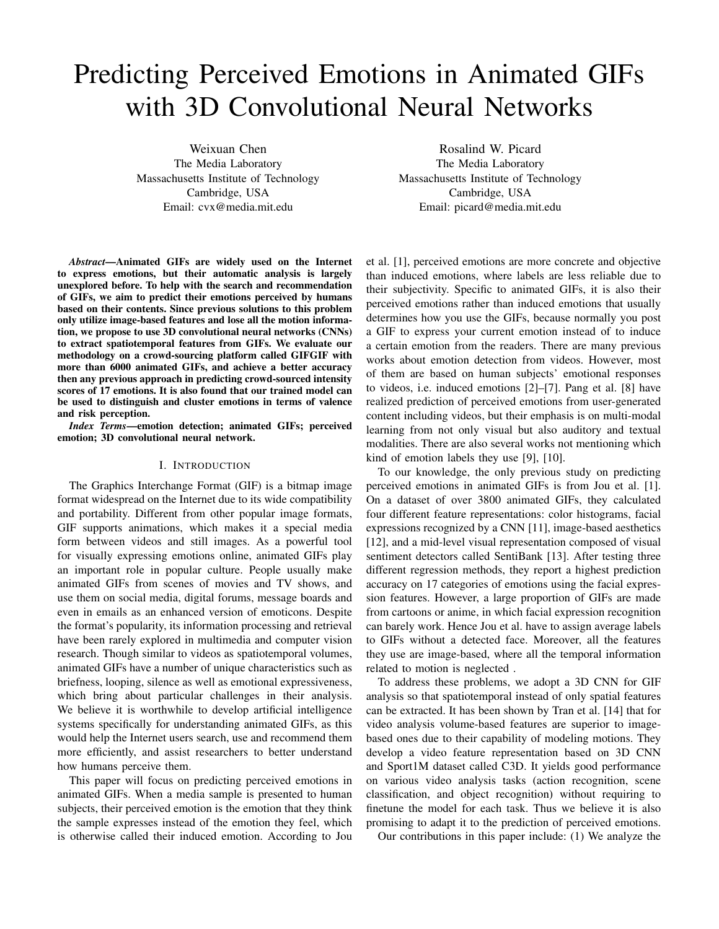# Predicting Perceived Emotions in Animated GIFs with 3D Convolutional Neural Networks

Weixuan Chen The Media Laboratory Massachusetts Institute of Technology Cambridge, USA Email: cvx@media.mit.edu

*Abstract*—Animated GIFs are widely used on the Internet to express emotions, but their automatic analysis is largely unexplored before. To help with the search and recommendation of GIFs, we aim to predict their emotions perceived by humans based on their contents. Since previous solutions to this problem only utilize image-based features and lose all the motion information, we propose to use 3D convolutional neural networks (CNNs) to extract spatiotemporal features from GIFs. We evaluate our methodology on a crowd-sourcing platform called GIFGIF with more than 6000 animated GIFs, and achieve a better accuracy then any previous approach in predicting crowd-sourced intensity scores of 17 emotions. It is also found that our trained model can be used to distinguish and cluster emotions in terms of valence and risk perception.

*Index Terms*—emotion detection; animated GIFs; perceived emotion; 3D convolutional neural network.

## I. INTRODUCTION

The Graphics Interchange Format (GIF) is a bitmap image format widespread on the Internet due to its wide compatibility and portability. Different from other popular image formats, GIF supports animations, which makes it a special media form between videos and still images. As a powerful tool for visually expressing emotions online, animated GIFs play an important role in popular culture. People usually make animated GIFs from scenes of movies and TV shows, and use them on social media, digital forums, message boards and even in emails as an enhanced version of emoticons. Despite the format's popularity, its information processing and retrieval have been rarely explored in multimedia and computer vision research. Though similar to videos as spatiotemporal volumes, animated GIFs have a number of unique characteristics such as briefness, looping, silence as well as emotional expressiveness, which bring about particular challenges in their analysis. We believe it is worthwhile to develop artificial intelligence systems specifically for understanding animated GIFs, as this would help the Internet users search, use and recommend them more efficiently, and assist researchers to better understand how humans perceive them.

This paper will focus on predicting perceived emotions in animated GIFs. When a media sample is presented to human subjects, their perceived emotion is the emotion that they think the sample expresses instead of the emotion they feel, which is otherwise called their induced emotion. According to Jou

Rosalind W. Picard The Media Laboratory Massachusetts Institute of Technology Cambridge, USA Email: picard@media.mit.edu

et al. [1], perceived emotions are more concrete and objective than induced emotions, where labels are less reliable due to their subjectivity. Specific to animated GIFs, it is also their perceived emotions rather than induced emotions that usually determines how you use the GIFs, because normally you post a GIF to express your current emotion instead of to induce a certain emotion from the readers. There are many previous works about emotion detection from videos. However, most of them are based on human subjects' emotional responses to videos, i.e. induced emotions [2]–[7]. Pang et al. [8] have realized prediction of perceived emotions from user-generated content including videos, but their emphasis is on multi-modal learning from not only visual but also auditory and textual modalities. There are also several works not mentioning which kind of emotion labels they use [9], [10].

To our knowledge, the only previous study on predicting perceived emotions in animated GIFs is from Jou et al. [1]. On a dataset of over 3800 animated GIFs, they calculated four different feature representations: color histograms, facial expressions recognized by a CNN [11], image-based aesthetics [12], and a mid-level visual representation composed of visual sentiment detectors called SentiBank [13]. After testing three different regression methods, they report a highest prediction accuracy on 17 categories of emotions using the facial expression features. However, a large proportion of GIFs are made from cartoons or anime, in which facial expression recognition can barely work. Hence Jou et al. have to assign average labels to GIFs without a detected face. Moreover, all the features they use are image-based, where all the temporal information related to motion is neglected .

To address these problems, we adopt a 3D CNN for GIF analysis so that spatiotemporal instead of only spatial features can be extracted. It has been shown by Tran et al. [14] that for video analysis volume-based features are superior to imagebased ones due to their capability of modeling motions. They develop a video feature representation based on 3D CNN and Sport1M dataset called C3D. It yields good performance on various video analysis tasks (action recognition, scene classification, and object recognition) without requiring to finetune the model for each task. Thus we believe it is also promising to adapt it to the prediction of perceived emotions.

Our contributions in this paper include: (1) We analyze the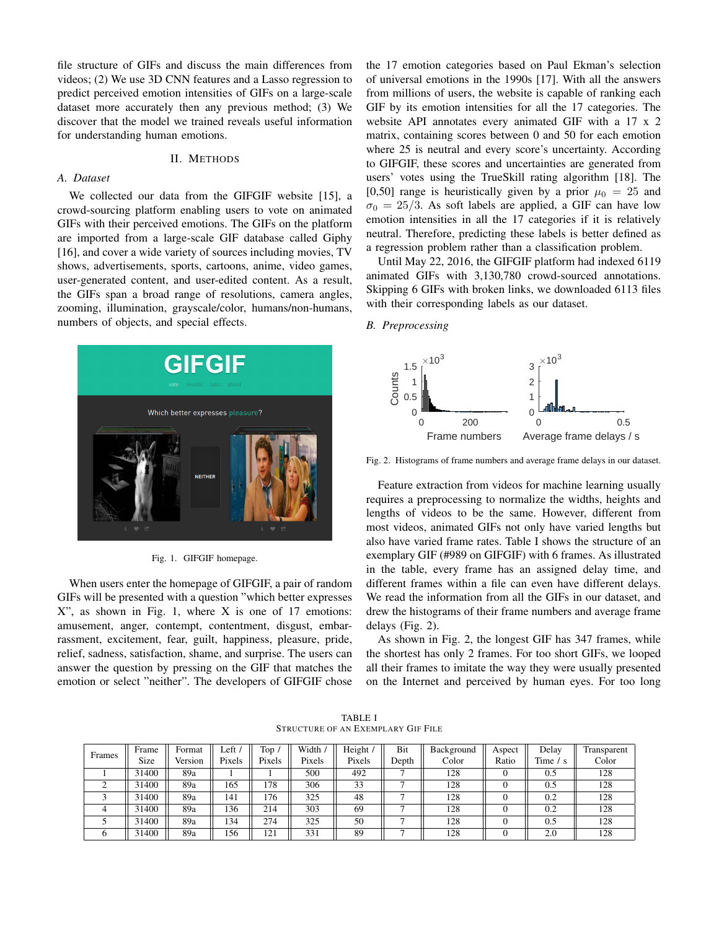file structure of GIFs and discuss the main differences from videos; (2) We use 3D CNN features and a Lasso regression to predict perceived emotion intensities of GIFs on a large-scale dataset more accurately then any previous method; (3) We discover that the model we trained reveals useful information for understanding human emotions.

# II. METHODS

#### *A. Dataset*

We collected our data from the GIFGIF website [15], a crowd-sourcing platform enabling users to vote on animated GIFs with their perceived emotions. The GIFs on the platform are imported from a large-scale GIF database called Giphy [16], and cover a wide variety of sources including movies, TV shows, advertisements, sports, cartoons, anime, video games, user-generated content, and user-edited content. As a result, the GIFs span a broad range of resolutions, camera angles, zooming, illumination, grayscale/color, humans/non-humans, numbers of objects, and special effects.



Fig. 1. GIFGIF homepage.

When users enter the homepage of GIFGIF, a pair of random GIFs will be presented with a question "which better expresses  $X$ ", as shown in Fig. 1, where  $X$  is one of 17 emotions: amusement, anger, contempt, contentment, disgust, embarrassment, excitement, fear, guilt, happiness, pleasure, pride, relief, sadness, satisfaction, shame, and surprise. The users can answer the question by pressing on the GIF that matches the emotion or select "neither". The developers of GIFGIF chose the 17 emotion categories based on Paul Ekman's selection of universal emotions in the 1990s [17]. With all the answers from millions of users, the website is capable of ranking each GIF by its emotion intensities for all the 17 categories. The website API annotates every animated GIF with a 17 x 2 matrix, containing scores between 0 and 50 for each emotion where 25 is neutral and every score's uncertainty. According to GIFGIF, these scores and uncertainties are generated from users' votes using the TrueSkill rating algorithm [18]. The [0,50] range is heuristically given by a prior  $\mu_0 = 25$  and  $\sigma_0 = 25/3$ . As soft labels are applied, a GIF can have low emotion intensities in all the 17 categories if it is relatively neutral. Therefore, predicting these labels is better defined as a regression problem rather than a classification problem.

Until May 22, 2016, the GIFGIF platform had indexed 6119 animated GIFs with 3,130,780 crowd-sourced annotations. Skipping 6 GIFs with broken links, we downloaded 6113 files with their corresponding labels as our dataset.

### *B. Preprocessing*



Fig. 2. Histograms of frame numbers and average frame delays in our dataset.

Feature extraction from videos for machine learning usually requires a preprocessing to normalize the widths, heights and lengths of videos to be the same. However, different from most videos, animated GIFs not only have varied lengths but also have varied frame rates. Table I shows the structure of an exemplary GIF (#989 on GIFGIF) with 6 frames. As illustrated in the table, every frame has an assigned delay time, and different frames within a file can even have different delays. We read the information from all the GIFs in our dataset, and drew the histograms of their frame numbers and average frame delays (Fig. 2).

As shown in Fig. 2, the longest GIF has 347 frames, while the shortest has only 2 frames. For too short GIFs, we looped all their frames to imitate the way they were usually presented on the Internet and perceived by human eyes. For too long

TABLE I STRUCTURE OF AN EXEMPLARY GIF FILE

| Frames | Frame | Format  | Left $\overline{a}$ | Top,   | Width / | Height / | Bit   | Background | Aspect | Delav         | Transparent |
|--------|-------|---------|---------------------|--------|---------|----------|-------|------------|--------|---------------|-------------|
|        | Size  | Version | Pixels              | Pixels | Pixels  | Pixels   | Depth | Color      | Ratio  | Time $\prime$ | Color       |
|        | 31400 | 89a     |                     |        | 500     | 492      |       | 128        |        | 0.5           | 128         |
| $\sim$ | 31400 | 89a     | 165                 | l78    | 306     | 33       |       | 128        |        | 0.5           | 128         |
|        | 31400 | 89a     | 141                 | .76    | 325     | 48       |       | 128        |        | 0.2           | 128         |
|        | 31400 | 89a     | 136                 | 214    | 303     | 69       |       | 128        |        | 0.2           | 128         |
|        | 31400 | 89a     | $\overline{34}$     | 274    | 325     | 50       |       | 128        |        | 0.5           | 128         |
|        | 31400 | 89a     | 156                 | 121    | 331     | 89       |       | 128        |        | 2.0           | 128         |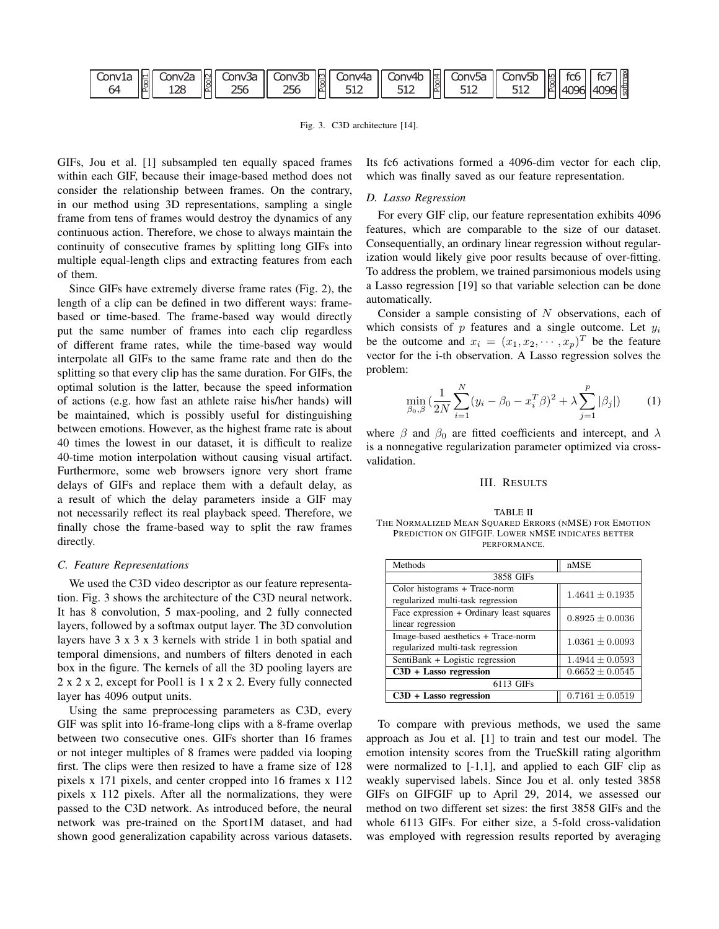| Conv1a    Conv2a    Conv3a    Conv3b    Conv4a    Conv4b    Conv5a    Conv5b    Conv5b    FC6    FC7    TC6<br> - 64    R    128    256    256    256    256    256    256    256    2512    2512    2512    2512    2512    25 |  |  |  |  |  |
|---------------------------------------------------------------------------------------------------------------------------------------------------------------------------------------------------------------------------------|--|--|--|--|--|
|                                                                                                                                                                                                                                 |  |  |  |  |  |

Fig. 3. C3D architecture [14].

GIFs, Jou et al. [1] subsampled ten equally spaced frames within each GIF, because their image-based method does not consider the relationship between frames. On the contrary, in our method using 3D representations, sampling a single frame from tens of frames would destroy the dynamics of any continuous action. Therefore, we chose to always maintain the continuity of consecutive frames by splitting long GIFs into multiple equal-length clips and extracting features from each of them.

Since GIFs have extremely diverse frame rates (Fig. 2), the length of a clip can be defined in two different ways: framebased or time-based. The frame-based way would directly put the same number of frames into each clip regardless of different frame rates, while the time-based way would interpolate all GIFs to the same frame rate and then do the splitting so that every clip has the same duration. For GIFs, the optimal solution is the latter, because the speed information of actions (e.g. how fast an athlete raise his/her hands) will be maintained, which is possibly useful for distinguishing between emotions. However, as the highest frame rate is about 40 times the lowest in our dataset, it is difficult to realize 40-time motion interpolation without causing visual artifact. Furthermore, some web browsers ignore very short frame delays of GIFs and replace them with a default delay, as a result of which the delay parameters inside a GIF may not necessarily reflect its real playback speed. Therefore, we finally chose the frame-based way to split the raw frames directly.

# *C. Feature Representations*

We used the C3D video descriptor as our feature representation. Fig. 3 shows the architecture of the C3D neural network. It has 8 convolution, 5 max-pooling, and 2 fully connected layers, followed by a softmax output layer. The 3D convolution layers have 3 x 3 x 3 kernels with stride 1 in both spatial and temporal dimensions, and numbers of filters denoted in each box in the figure. The kernels of all the 3D pooling layers are 2 x 2 x 2, except for Pool1 is 1 x 2 x 2. Every fully connected layer has 4096 output units.

Using the same preprocessing parameters as C3D, every GIF was split into 16-frame-long clips with a 8-frame overlap between two consecutive ones. GIFs shorter than 16 frames or not integer multiples of 8 frames were padded via looping first. The clips were then resized to have a frame size of 128 pixels x 171 pixels, and center cropped into 16 frames x 112 pixels x 112 pixels. After all the normalizations, they were passed to the C3D network. As introduced before, the neural network was pre-trained on the Sport1M dataset, and had shown good generalization capability across various datasets. Its fc6 activations formed a 4096-dim vector for each clip, which was finally saved as our feature representation.

#### *D. Lasso Regression*

For every GIF clip, our feature representation exhibits 4096 features, which are comparable to the size of our dataset. Consequentially, an ordinary linear regression without regularization would likely give poor results because of over-fitting. To address the problem, we trained parsimonious models using a Lasso regression [19] so that variable selection can be done automatically.

Consider a sample consisting of  $N$  observations, each of which consists of  $p$  features and a single outcome. Let  $y_i$ be the outcome and  $x_i = (x_1, x_2, \dots, x_p)^T$  be the feature vector for the i-th observation. A Lasso regression solves the problem:

$$
\min_{\beta_0, \beta} \left( \frac{1}{2N} \sum_{i=1}^N (y_i - \beta_0 - x_i^T \beta)^2 + \lambda \sum_{j=1}^p |\beta_j| \right) \tag{1}
$$

where  $\beta$  and  $\beta_0$  are fitted coefficients and intercept, and  $\lambda$ is a nonnegative regularization parameter optimized via crossvalidation.

## III. RESULTS

#### TABLE II THE NORMALIZED MEAN SQUARED ERRORS (NMSE) FOR EMOTION PREDICTION ON GIFGIF. LOWER NMSE INDICATES BETTER PERFORMANCE.

| Methods                                                                  | nMSE                |  |  |  |  |  |
|--------------------------------------------------------------------------|---------------------|--|--|--|--|--|
| 3858 GIFs                                                                |                     |  |  |  |  |  |
| Color histograms + Trace-norm<br>regularized multi-task regression       | $1.4641 \pm 0.1935$ |  |  |  |  |  |
| Face expression + Ordinary least squares<br>linear regression            | $0.8925 \pm 0.0036$ |  |  |  |  |  |
| Image-based aesthetics + Trace-norm<br>regularized multi-task regression | $1.0361 \pm 0.0093$ |  |  |  |  |  |
| SentiBank + Logistic regression                                          | $1.4944 \pm 0.0593$ |  |  |  |  |  |
| $C3D + Lasso$ regression                                                 | $0.6652 \pm 0.0545$ |  |  |  |  |  |
| 6113 GIFs                                                                |                     |  |  |  |  |  |
| $C3D + Lasso$ regression                                                 | $0.7161 \pm 0.0519$ |  |  |  |  |  |

To compare with previous methods, we used the same approach as Jou et al. [1] to train and test our model. The emotion intensity scores from the TrueSkill rating algorithm were normalized to  $[-1,1]$ , and applied to each GIF clip as weakly supervised labels. Since Jou et al. only tested 3858 GIFs on GIFGIF up to April 29, 2014, we assessed our method on two different set sizes: the first 3858 GIFs and the whole 6113 GIFs. For either size, a 5-fold cross-validation was employed with regression results reported by averaging